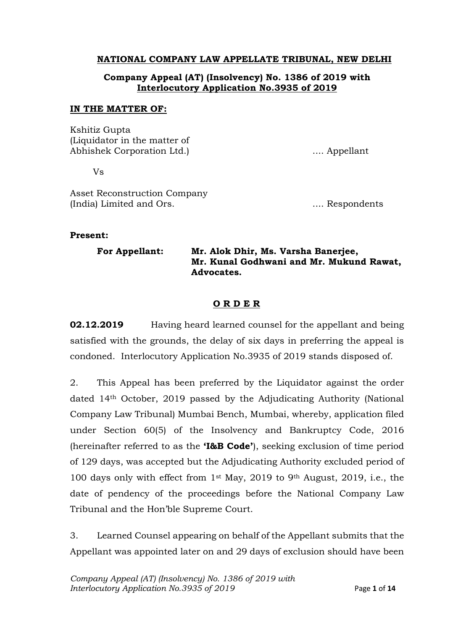# **NATIONAL COMPANY LAW APPELLATE TRIBUNAL, NEW DELHI**

# **Company Appeal (AT) (Insolvency) No. 1386 of 2019 with Interlocutory Application No.3935 of 2019**

#### **IN THE MATTER OF:**

Kshitiz Gupta (Liquidator in the matter of Abhishek Corporation Ltd.) .... Appellant

Vs

Asset Reconstruction Company (India) Limited and Ors.  $\ldots$  Respondents

#### **Present:**

| <b>For Appellant:</b> | Mr. Alok Dhir, Ms. Varsha Banerjee,<br>Mr. Kunal Godhwani and Mr. Mukund Rawat, |
|-----------------------|---------------------------------------------------------------------------------|
|                       | Advocates.                                                                      |

### **O R D E R**

**02.12.2019** Having heard learned counsel for the appellant and being satisfied with the grounds, the delay of six days in preferring the appeal is condoned. Interlocutory Application No.3935 of 2019 stands disposed of.

2. This Appeal has been preferred by the Liquidator against the order dated 14th October, 2019 passed by the Adjudicating Authority (National Company Law Tribunal) Mumbai Bench, Mumbai, whereby, application filed under Section 60(5) of the Insolvency and Bankruptcy Code, 2016 (hereinafter referred to as the **'I&B Code'**), seeking exclusion of time period of 129 days, was accepted but the Adjudicating Authority excluded period of 100 days only with effect from 1st May, 2019 to 9th August, 2019, i.e., the date of pendency of the proceedings before the National Company Law Tribunal and the Hon'ble Supreme Court.

3. Learned Counsel appearing on behalf of the Appellant submits that the Appellant was appointed later on and 29 days of exclusion should have been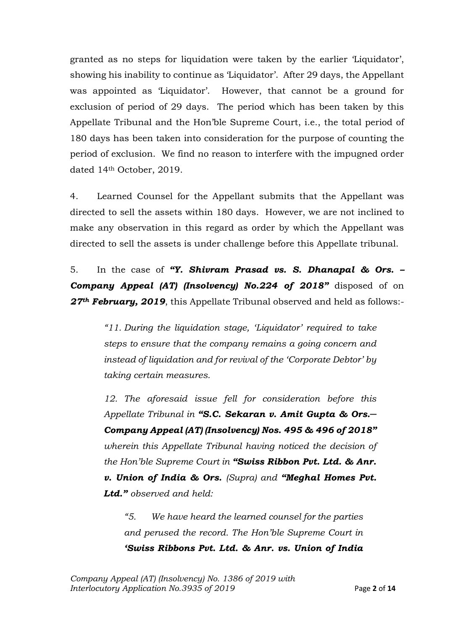granted as no steps for liquidation were taken by the earlier 'Liquidator', showing his inability to continue as 'Liquidator'. After 29 days, the Appellant was appointed as 'Liquidator'. However, that cannot be a ground for exclusion of period of 29 days. The period which has been taken by this Appellate Tribunal and the Hon'ble Supreme Court, i.e., the total period of 180 days has been taken into consideration for the purpose of counting the period of exclusion. We find no reason to interfere with the impugned order dated 14th October, 2019.

4. Learned Counsel for the Appellant submits that the Appellant was directed to sell the assets within 180 days. However, we are not inclined to make any observation in this regard as order by which the Appellant was directed to sell the assets is under challenge before this Appellate tribunal.

5. In the case of *"Y. Shivram Prasad vs. S. Dhanapal & Ors. – Company Appeal (AT) (Insolvency) No.224 of 2018"* disposed of on *27th February, 2019*, this Appellate Tribunal observed and held as follows:-

> *"11. During the liquidation stage, 'Liquidator' required to take steps to ensure that the company remains a going concern and instead of liquidation and for revival of the 'Corporate Debtor' by taking certain measures.*

> *12. The aforesaid issue fell for consideration before this Appellate Tribunal in "S.C. Sekaran v. Amit Gupta & Ors.─ Company Appeal (AT) (Insolvency) Nos. 495 & 496 of 2018" wherein this Appellate Tribunal having noticed the decision of the Hon'ble Supreme Court in "Swiss Ribbon Pvt. Ltd. & Anr. v. Union of India & Ors. (Supra) and "Meghal Homes Pvt. Ltd." observed and held:*

*"5. We have heard the learned counsel for the parties and perused the record. The Hon'ble Supreme Court in 'Swiss Ribbons Pvt. Ltd. & Anr. vs. Union of India*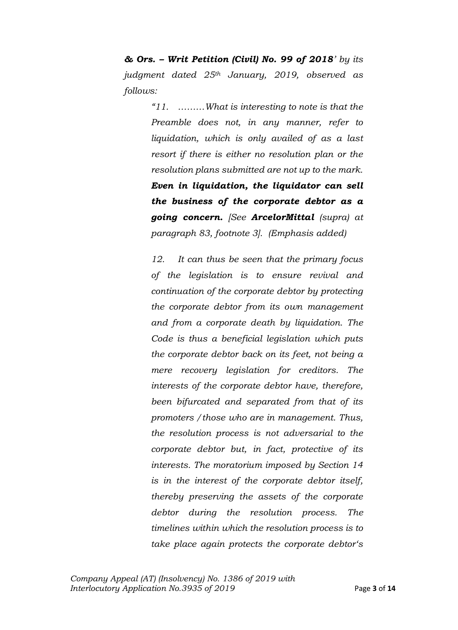*& Ors. – Writ Petition (Civil) No. 99 of 2018' by its judgment dated 25th January, 2019, observed as follows:*

> *"11. ………What is interesting to note is that the Preamble does not, in any manner, refer to liquidation, which is only availed of as a last resort if there is either no resolution plan or the resolution plans submitted are not up to the mark. Even in liquidation, the liquidator can sell the business of the corporate debtor as a going concern. [See ArcelorMittal (supra) at paragraph 83, footnote 3]. (Emphasis added)*

> *12. It can thus be seen that the primary focus of the legislation is to ensure revival and continuation of the corporate debtor by protecting the corporate debtor from its own management and from a corporate death by liquidation. The Code is thus a beneficial legislation which puts the corporate debtor back on its feet, not being a mere recovery legislation for creditors. The interests of the corporate debtor have, therefore, been bifurcated and separated from that of its promoters /those who are in management. Thus, the resolution process is not adversarial to the corporate debtor but, in fact, protective of its interests. The moratorium imposed by Section 14 is in the interest of the corporate debtor itself, thereby preserving the assets of the corporate debtor during the resolution process. The timelines within which the resolution process is to take place again protects the corporate debtor's*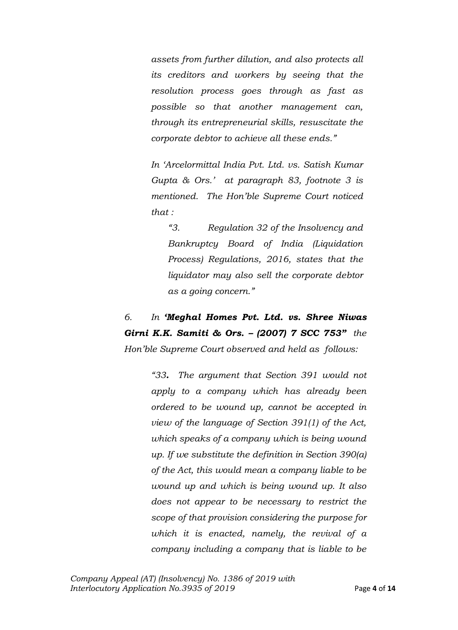*assets from further dilution, and also protects all its creditors and workers by seeing that the resolution process goes through as fast as possible so that another management can, through its entrepreneurial skills, resuscitate the corporate debtor to achieve all these ends."*

*In 'Arcelormittal India Pvt. Ltd. vs. Satish Kumar Gupta & Ors.' at paragraph 83, footnote 3 is mentioned. The Hon'ble Supreme Court noticed that :*

*"3. Regulation 32 of the Insolvency and Bankruptcy Board of India (Liquidation Process) Regulations, 2016, states that the liquidator may also sell the corporate debtor as a going concern."*

*6. In 'Meghal Homes Pvt. Ltd. vs. Shree Niwas Girni K.K. Samiti & Ors. – (2007) 7 SCC 753" the Hon'ble Supreme Court observed and held as follows:*

> *"33. The argument that Section 391 would not apply to a company which has already been ordered to be wound up, cannot be accepted in view of the language of Section 391(1) of the Act, which speaks of a company which is being wound up. If we substitute the definition in Section 390(a) of the Act, this would mean a company liable to be wound up and which is being wound up. It also does not appear to be necessary to restrict the scope of that provision considering the purpose for which it is enacted, namely, the revival of a company including a company that is liable to be*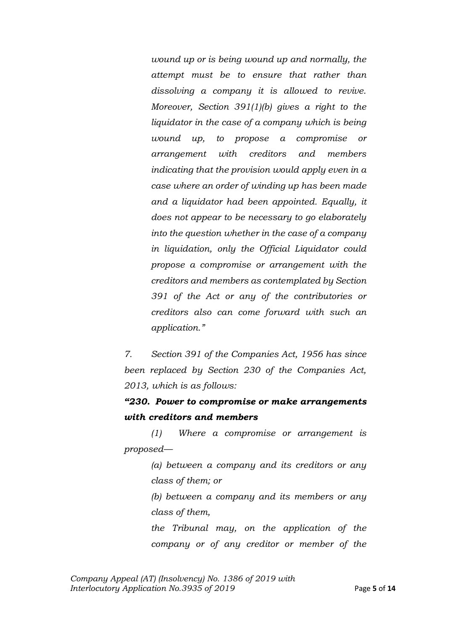*wound up or is being wound up and normally, the attempt must be to ensure that rather than dissolving a company it is allowed to revive. Moreover, Section 391(1)(b) gives a right to the liquidator in the case of a company which is being wound up, to propose a compromise or arrangement with creditors and members indicating that the provision would apply even in a case where an order of winding up has been made and a liquidator had been appointed. Equally, it does not appear to be necessary to go elaborately into the question whether in the case of a company in liquidation, only the Official Liquidator could propose a compromise or arrangement with the creditors and members as contemplated by Section 391 of the Act or any of the contributories or creditors also can come forward with such an application."*

*7. Section 391 of the Companies Act, 1956 has since been replaced by Section 230 of the Companies Act, 2013, which is as follows:*

*"230. Power to compromise or make arrangements with creditors and members*

*(1) Where a compromise or arrangement is proposed—*

> *(a) between a company and its creditors or any class of them; or*

> *(b) between a company and its members or any class of them,*

> *the Tribunal may, on the application of the company or of any creditor or member of the*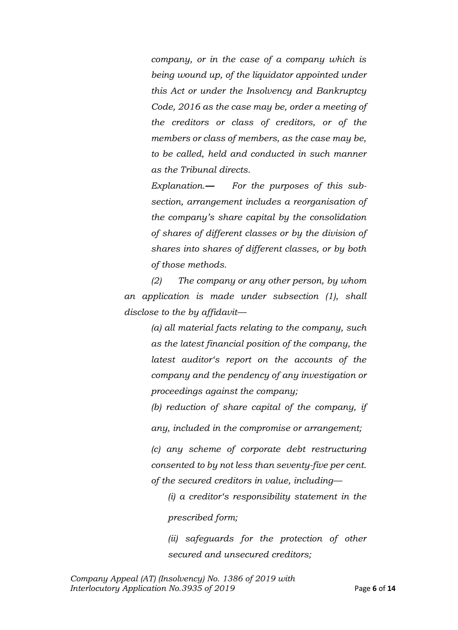*company, or in the case of a company which is being wound up, of the liquidator appointed under this Act or under the Insolvency and Bankruptcy Code, 2016 as the case may be, order a meeting of the creditors or class of creditors, or of the members or class of members, as the case may be, to be called, held and conducted in such manner as the Tribunal directs.*

*Explanation.— For the purposes of this subsection, arrangement includes a reorganisation of the company's share capital by the consolidation of shares of different classes or by the division of shares into shares of different classes, or by both of those methods.*

*(2) The company or any other person, by whom an application is made under subsection (1), shall disclose to the by affidavit—*

> *(a) all material facts relating to the company, such as the latest financial position of the company, the latest auditor's report on the accounts of the company and the pendency of any investigation or proceedings against the company;*

> *(b) reduction of share capital of the company, if any, included in the compromise or arrangement;*

> *(c) any scheme of corporate debt restructuring consented to by not less than seventy-five per cent. of the secured creditors in value, including—*

*(i) a creditor's responsibility statement in the prescribed form;* 

*(ii) safeguards for the protection of other secured and unsecured creditors;*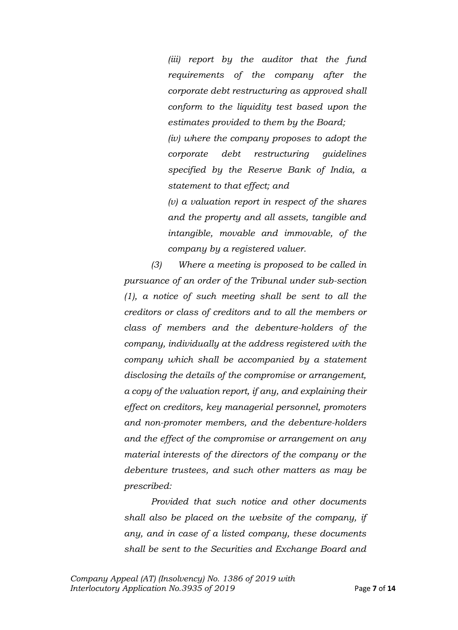*(iii) report by the auditor that the fund requirements of the company after the corporate debt restructuring as approved shall conform to the liquidity test based upon the estimates provided to them by the Board;* 

*(iv) where the company proposes to adopt the corporate debt restructuring guidelines specified by the Reserve Bank of India, a statement to that effect; and*

*(v) a valuation report in respect of the shares and the property and all assets, tangible and intangible, movable and immovable, of the company by a registered valuer.* 

*(3) Where a meeting is proposed to be called in pursuance of an order of the Tribunal under sub-section (1), a notice of such meeting shall be sent to all the creditors or class of creditors and to all the members or class of members and the debenture-holders of the company, individually at the address registered with the company which shall be accompanied by a statement disclosing the details of the compromise or arrangement, a copy of the valuation report, if any, and explaining their effect on creditors, key managerial personnel, promoters and non-promoter members, and the debenture-holders and the effect of the compromise or arrangement on any material interests of the directors of the company or the debenture trustees, and such other matters as may be prescribed:* 

*Provided that such notice and other documents shall also be placed on the website of the company, if any, and in case of a listed company, these documents shall be sent to the Securities and Exchange Board and*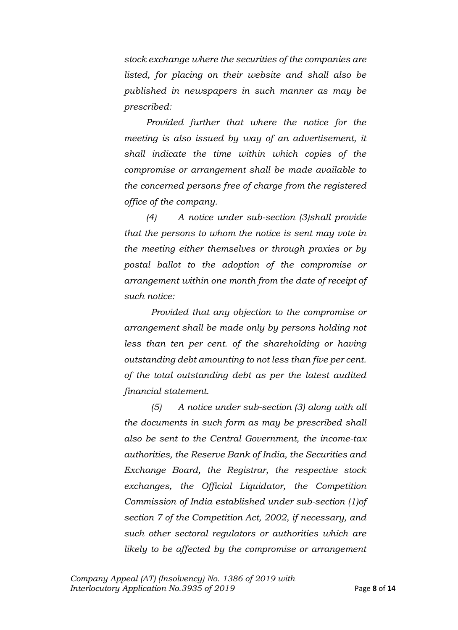*stock exchange where the securities of the companies are listed, for placing on their website and shall also be published in newspapers in such manner as may be prescribed:* 

*Provided further that where the notice for the meeting is also issued by way of an advertisement, it shall indicate the time within which copies of the compromise or arrangement shall be made available to the concerned persons free of charge from the registered office of the company.* 

*(4) A notice under sub-section (3)shall provide that the persons to whom the notice is sent may vote in the meeting either themselves or through proxies or by postal ballot to the adoption of the compromise or arrangement within one month from the date of receipt of such notice:* 

*Provided that any objection to the compromise or arrangement shall be made only by persons holding not*  less than ten per cent. of the shareholding or having *outstanding debt amounting to not less than five per cent. of the total outstanding debt as per the latest audited financial statement.* 

*(5) A notice under sub-section (3) along with all the documents in such form as may be prescribed shall also be sent to the Central Government, the income-tax authorities, the Reserve Bank of India, the Securities and Exchange Board, the Registrar, the respective stock exchanges, the Official Liquidator, the Competition Commission of India established under sub-section (1)of section 7 of the Competition Act, 2002, if necessary, and such other sectoral regulators or authorities which are likely to be affected by the compromise or arrangement*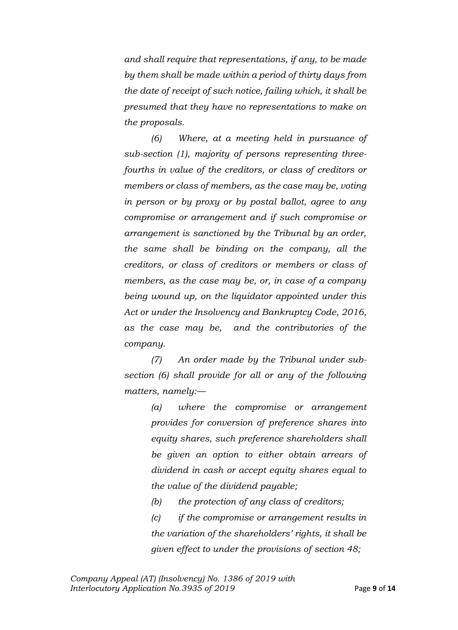*and shall require that representations, if any, to be made by them shall be made within a period of thirty days from the date of receipt of such notice, failing which, it shall be presumed that they have no representations to make on the proposals.* 

*(6) Where, at a meeting held in pursuance of sub-section (1), majority of persons representing threefourths in value of the creditors, or class of creditors or members or class of members, as the case may be, voting in person or by proxy or by postal ballot, agree to any compromise or arrangement and if such compromise or arrangement is sanctioned by the Tribunal by an order, the same shall be binding on the company, all the creditors, or class of creditors or members or class of members, as the case may be, or, in case of a company being wound up, on the liquidator appointed under this Act or under the Insolvency and Bankruptcy Code, 2016, as the case may be, and the contributories of the company.* 

*(7) An order made by the Tribunal under subsection (6) shall provide for all or any of the following matters, namely:—*

> *(a) where the compromise or arrangement provides for conversion of preference shares into equity shares, such preference shareholders shall be given an option to either obtain arrears of dividend in cash or accept equity shares equal to the value of the dividend payable;*

*(b) the protection of any class of creditors;* 

*(c) if the compromise or arrangement results in the variation of the shareholders' rights, it shall be given effect to under the provisions of section 48;*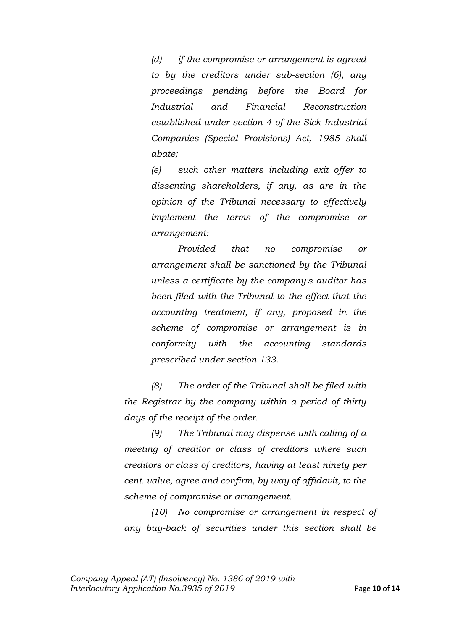*(d) if the compromise or arrangement is agreed to by the creditors under sub-section (6), any proceedings pending before the Board for Industrial and Financial Reconstruction established under section 4 of the Sick Industrial Companies (Special Provisions) Act, 1985 shall abate;* 

*(e) such other matters including exit offer to dissenting shareholders, if any, as are in the opinion of the Tribunal necessary to effectively implement the terms of the compromise or arrangement:* 

*Provided that no compromise or arrangement shall be sanctioned by the Tribunal unless a certificate by the company's auditor has been filed with the Tribunal to the effect that the accounting treatment, if any, proposed in the scheme of compromise or arrangement is in conformity with the accounting standards prescribed under section 133.* 

*(8) The order of the Tribunal shall be filed with the Registrar by the company within a period of thirty days of the receipt of the order.* 

*(9) The Tribunal may dispense with calling of a meeting of creditor or class of creditors where such creditors or class of creditors, having at least ninety per cent. value, agree and confirm, by way of affidavit, to the scheme of compromise or arrangement.* 

*(10) No compromise or arrangement in respect of any buy-back of securities under this section shall be*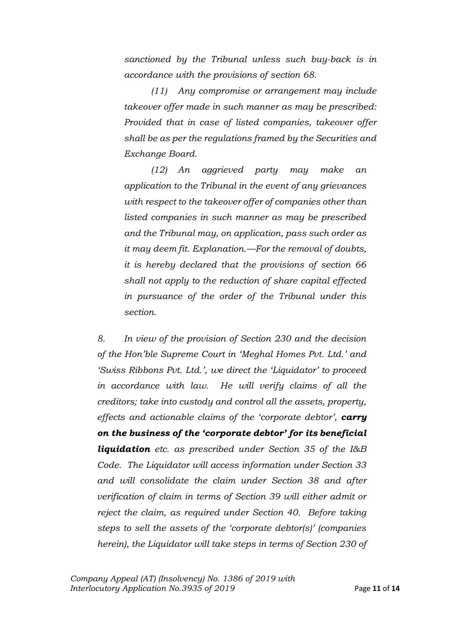*sanctioned by the Tribunal unless such buy-back is in accordance with the provisions of section 68.* 

*(11) Any compromise or arrangement may include takeover offer made in such manner as may be prescribed: Provided that in case of listed companies, takeover offer shall be as per the regulations framed by the Securities and Exchange Board.*

*(12) An aggrieved party may make an application to the Tribunal in the event of any grievances with respect to the takeover offer of companies other than listed companies in such manner as may be prescribed and the Tribunal may, on application, pass such order as it may deem fit. Explanation.—For the removal of doubts, it is hereby declared that the provisions of section 66 shall not apply to the reduction of share capital effected in pursuance of the order of the Tribunal under this section.*

*8. In view of the provision of Section 230 and the decision of the Hon'ble Supreme Court in 'Meghal Homes Pvt. Ltd.' and 'Swiss Ribbons Pvt. Ltd.', we direct the 'Liquidator' to proceed in accordance with law. He will verify claims of all the creditors; take into custody and control all the assets, property, effects and actionable claims of the 'corporate debtor', carry on the business of the 'corporate debtor' for its beneficial liquidation etc. as prescribed under Section 35 of the I&B Code. The Liquidator will access information under Section 33 and will consolidate the claim under Section 38 and after verification of claim in terms of Section 39 will either admit or reject the claim, as required under Section 40. Before taking steps to sell the assets of the 'corporate debtor(s)' (companies herein), the Liquidator will take steps in terms of Section 230 of*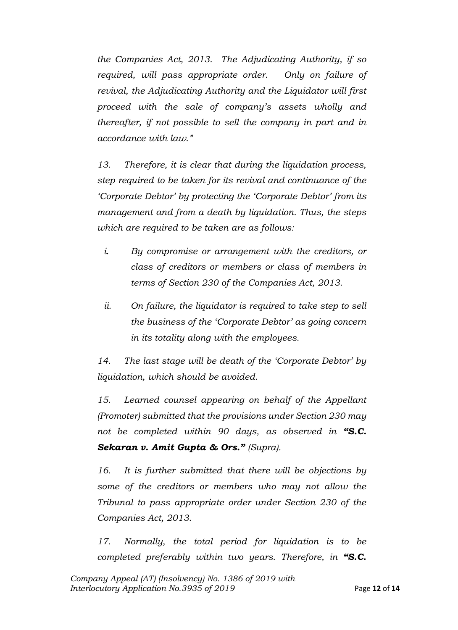*the Companies Act, 2013. The Adjudicating Authority, if so required, will pass appropriate order. Only on failure of revival, the Adjudicating Authority and the Liquidator will first proceed with the sale of company's assets wholly and thereafter, if not possible to sell the company in part and in accordance with law."*

*13. Therefore, it is clear that during the liquidation process, step required to be taken for its revival and continuance of the 'Corporate Debtor' by protecting the 'Corporate Debtor' from its management and from a death by liquidation. Thus, the steps which are required to be taken are as follows:*

- *i. By compromise or arrangement with the creditors, or class of creditors or members or class of members in terms of Section 230 of the Companies Act, 2013.*
- *ii. On failure, the liquidator is required to take step to sell the business of the 'Corporate Debtor' as going concern in its totality along with the employees.*

*14. The last stage will be death of the 'Corporate Debtor' by liquidation, which should be avoided.*

*15. Learned counsel appearing on behalf of the Appellant (Promoter) submitted that the provisions under Section 230 may not be completed within 90 days, as observed in "S.C. Sekaran v. Amit Gupta & Ors." (Supra).*

*16. It is further submitted that there will be objections by some of the creditors or members who may not allow the Tribunal to pass appropriate order under Section 230 of the Companies Act, 2013.*

*17. Normally, the total period for liquidation is to be completed preferably within two years. Therefore, in "S.C.*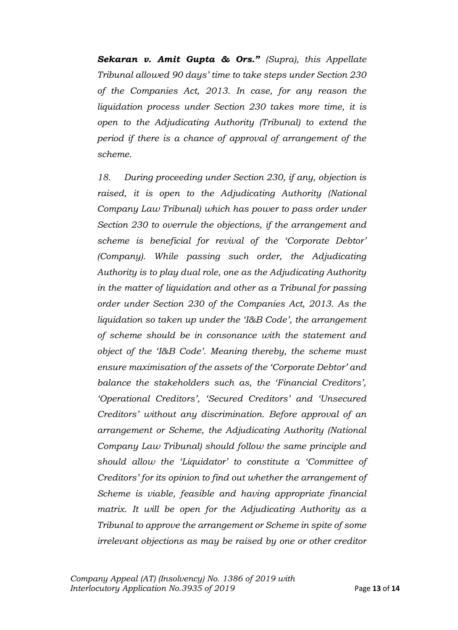*Sekaran v. Amit Gupta & Ors." (Supra), this Appellate Tribunal allowed 90 days' time to take steps under Section 230 of the Companies Act, 2013. In case, for any reason the liquidation process under Section 230 takes more time, it is open to the Adjudicating Authority (Tribunal) to extend the period if there is a chance of approval of arrangement of the scheme.*

*18. During proceeding under Section 230, if any, objection is*  raised, it is open to the Adjudicating Authority (National *Company Law Tribunal) which has power to pass order under Section 230 to overrule the objections, if the arrangement and scheme is beneficial for revival of the 'Corporate Debtor' (Company). While passing such order, the Adjudicating Authority is to play dual role, one as the Adjudicating Authority in the matter of liquidation and other as a Tribunal for passing order under Section 230 of the Companies Act, 2013. As the liquidation so taken up under the 'I&B Code', the arrangement of scheme should be in consonance with the statement and object of the 'I&B Code'. Meaning thereby, the scheme must ensure maximisation of the assets of the 'Corporate Debtor' and balance the stakeholders such as, the 'Financial Creditors', 'Operational Creditors', 'Secured Creditors' and 'Unsecured Creditors' without any discrimination. Before approval of an arrangement or Scheme, the Adjudicating Authority (National Company Law Tribunal) should follow the same principle and should allow the 'Liquidator' to constitute a 'Committee of Creditors' for its opinion to find out whether the arrangement of Scheme is viable, feasible and having appropriate financial matrix. It will be open for the Adjudicating Authority as a Tribunal to approve the arrangement or Scheme in spite of some irrelevant objections as may be raised by one or other creditor*